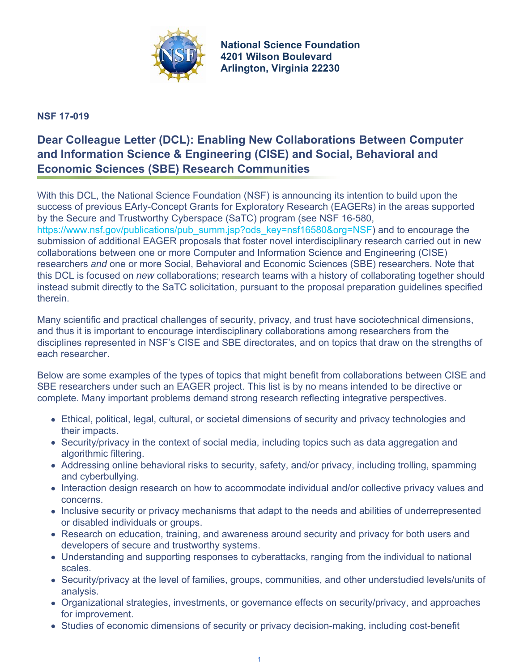

**National Science Foundation 4201 Wilson Boulevard Arlington, Virginia 22230**

## **NSF 17-019**

## **Dear Colleague Letter (DCL): Enabling New Collaborations Between Computer and Information Science & Engineering (CISE) and Social, Behavioral and Economic Sciences (SBE) Research Communities**

With this DCL, the National Science Foundation (NSF) is announcing its intention to build upon the success of previous EArly-Concept Grants for Exploratory Research (EAGERs) in the areas supported by the Secure and Trustworthy Cyberspace (SaTC) program (see NSF 16-580,

[https://www.nsf.gov/publications/pub\\_summ.jsp?ods\\_key=nsf16580&org=NSF](https://www.nsf.gov/publications/pub_summ.jsp?ods_key=nsf16580&org=NSF)) and to encourage the submission of additional EAGER proposals that foster novel interdisciplinary research carried out in new collaborations between one or more Computer and Information Science and Engineering (CISE) researchers *and* one or more Social, Behavioral and Economic Sciences (SBE) researchers. Note that this DCL is focused on *new* collaborations; research teams with a history of collaborating together should instead submit directly to the SaTC solicitation, pursuant to the proposal preparation guidelines specified therein.

Many scientific and practical challenges of security, privacy, and trust have sociotechnical dimensions, and thus it is important to encourage interdisciplinary collaborations among researchers from the disciplines represented in NSF's CISE and SBE directorates, and on topics that draw on the strengths of each researcher.

Below are some examples of the types of topics that might benefit from collaborations between CISE and SBE researchers under such an EAGER project. This list is by no means intended to be directive or complete. Many important problems demand strong research reflecting integrative perspectives.

- Ethical, political, legal, cultural, or societal dimensions of security and privacy technologies and their impacts.
- Security/privacy in the context of social media, including topics such as data aggregation and algorithmic filtering.
- Addressing online behavioral risks to security, safety, and/or privacy, including trolling, spamming and cyberbullying.
- Interaction design research on how to accommodate individual and/or collective privacy values and concerns.
- Inclusive security or privacy mechanisms that adapt to the needs and abilities of underrepresented or disabled individuals or groups.
- Research on education, training, and awareness around security and privacy for both users and developers of secure and trustworthy systems.
- Understanding and supporting responses to cyberattacks, ranging from the individual to national scales.
- Security/privacy at the level of families, groups, communities, and other understudied levels/units of analysis.
- Organizational strategies, investments, or governance effects on security/privacy, and approaches for improvement.
- Studies of economic dimensions of security or privacy decision-making, including cost-benefit